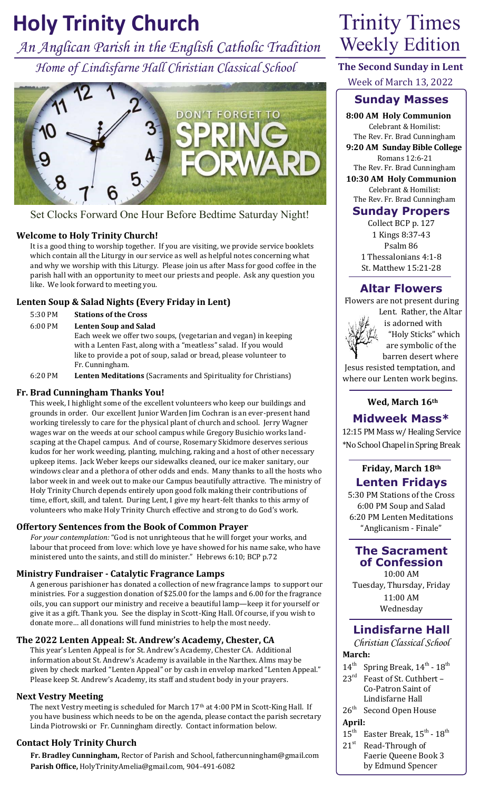# **Holy Trinity Church** Trinity Times

*An Anglican Parish in the English Catholic Tradition Home of Lindisfarne Hall Christian Classical School*



Set Clocks Forward One Hour Before Bedtime Saturday Night!

### **Welcome to Holy Trinity Church!**

It is a good thing to worship together. If you are visiting, we provide service booklets which contain all the Liturgy in our service as well as helpful notes concerning what and why we worship with this Liturgy. Please join us after Mass for good coffee in the parish hall with an opportunity to meet our priests and people. Ask any question you like. We look forward to meeting you.

### **Lenten Soup & Salad Nights (Every Friday in Lent)**

- 5:30 PM **Stations of the Cross**
- 6:00 PM **Lenten Soup and Salad**

Each week we offer two soups, (vegetarian and vegan) in keeping with a Lenten Fast, along with a "meatless" salad. If you would like to provide a pot of soup, salad or bread, please volunteer to Fr. Cunningham.

6:20 PM **Lenten Meditations** (Sacraments and Spirituality for Christians)

### **Fr. Brad Cunningham Thanks You!**

This week, I highlight some of the excellent volunteers who keep our buildings and grounds in order. Our excellent Junior Warden Jim Cochran is an ever-present hand working tirelessly to care for the physical plant of church and school. Jerry Wagner wages war on the weeds at our school campus while Gregory Busichio works landscaping at the Chapel campus. And of course, Rosemary Skidmore deserves serious kudos for her work weeding, planting, mulching, raking and a host of other necessary upkeep items. Jack Weber keeps our sidewalks cleaned, our ice maker sanitary, our windows clear and a plethora of other odds and ends. Many thanks to all the hosts who labor week in and week out to make our Campus beautifully attractive. The ministry of Holy Trinity Church depends entirely upon good folk making their contributions of time, effort, skill, and talent. During Lent, I give my heart-felt thanks to this army of volunteers who make Holy Trinity Church effective and strong to do God's work.

### **Offertory Sentences from the Book of Common Prayer**

*For your contemplation:* "God is not unrighteous that he will forget your works, and labour that proceed from love: which love ye have showed for his name sake, who have ministered unto the saints, and still do minister." Hebrews 6:10; BCP p.72

### **Ministry Fundraiser - Catalytic Fragrance Lamps**

A generous parishioner has donated a collection of new fragrance lamps to support our ministries. For a suggestion donation of \$25.00 for the lamps and 6.00 for the fragrance oils, you can support our ministry and receive a beautiful lamp—keep it for yourself or give it as a gift. Thank you. See the display in Scott-King Hall. Of course, if you wish to donate more… all donations will fund ministries to help the most needy.

# **The 2022 Lenten Appeal: St. Andrew's Academy, Chester, CA**

This year's Lenten Appeal is for St. Andrew's Academy, Chester CA. Additional information about St. Andrew's Academy is available in the Narthex. Alms may be given by check marked "Lenten Appeal" or by cash in envelop marked "Lenten Appeal." Please keep St. Andrew's Academy, its staff and student body in your prayers.

### **Next Vestry Meeting**

The next Vestry meeting is scheduled for March 17<sup>th</sup> at 4:00 PM in Scott-King Hall. If you have business which needs to be on the agenda, please contact the parish secretary Linda Piotrowski or Fr. Cunningham directly. Contact information below.

### **Contact Holy Trinity Church**

**Fr. Bradley Cunningham,** Rector of Parish and School, fathercunningham@gmail.com **Parish Office,** HolyTrinityAmelia@gmail.com, 904-491-6082

# Weekly Edition

**The Second Sunday in Lent** Week of March 13, 2022

# **Sunday Masses**

**8:00 AM Holy Communion** Celebrant & Homilist: The Rev. Fr. Brad Cunningham

**9:20 AM Sunday Bible College** Romans 12:6-21

The Rev. Fr. Brad Cunningham **10:30 AM Holy Communion** Celebrant & Homilist:

The Rev. Fr. Brad Cunningham

# **Sunday Propers**

Collect BCP p. 127 1 Kings 8:37-43 Psalm 86 1 Thessalonians 4:1-8 St. Matthew 15:21-28

# **Altar Flowers**

 Flowers are not present during Lent. Rather, the Altar



 is adorned with "Holy Sticks" which are symbolic of the barren desert where

 Jesus resisted temptation, and where our Lenten work begins.

# **Wed, March 16th**

**Midweek Mass\***

12:15 PM Mass w/ Healing Service \*No School Chapel in Spring Break

## **Friday, March 18th Lenten Fridays**

5:30 PM Stations of the Cross 6:00 PM Soup and Salad 6:20 PM Lenten Meditations "Anglicanism - Finale"

### **The Sacrament of Confession**

10:00 AM Tuesday, Thursday, Friday 11:00 AM Wednesday

# **Lindisfarne Hall**

*Christian Classical School* **March:**

- $14^{\text{th}}$  Spring Break,  $14^{\text{th}}$   $18^{\text{th}}$
- 23<sup>rd</sup> Feast of St. Cuthbert -Co-Patron Saint of Lindisfarne Hall
- 26<sup>th</sup> Second Open House
- **April:**<br> $15^{\text{th}}$  **F**  $15^{\text{th}}$  Easter Break,  $15^{\text{th}}$  -  $18^{\text{th}}$
- $21<sup>st</sup>$  Read-Through of Faerie Queene Book 3 by Edmund Spencer